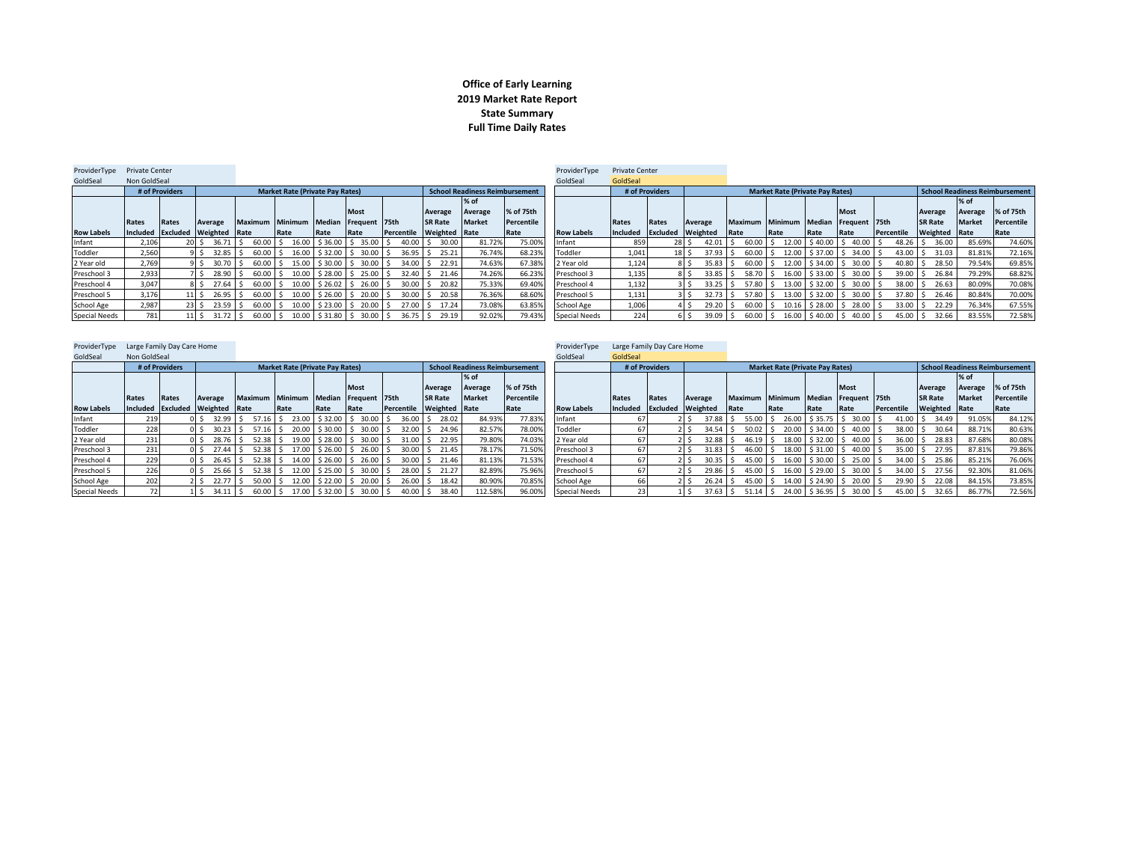## **Office of Early Learning 2019 Market Rate Report State Summary Full Time Daily Rates**

| ProviderType         | <b>Private Center</b>           |                |                   |            |                     |                                        |                     |                                |               |                |                                       |            | ProviderType         | <b>Private Center</b> |                |                               |                                      |                                        |      |                                |            |                |               |                                |
|----------------------|---------------------------------|----------------|-------------------|------------|---------------------|----------------------------------------|---------------------|--------------------------------|---------------|----------------|---------------------------------------|------------|----------------------|-----------------------|----------------|-------------------------------|--------------------------------------|----------------------------------------|------|--------------------------------|------------|----------------|---------------|--------------------------------|
| GoldSeal             | Non GoldSeal                    |                |                   |            |                     |                                        |                     |                                |               |                |                                       |            | GoldSeal             | GoldSeal              |                |                               |                                      |                                        |      |                                |            |                |               |                                |
|                      |                                 | # of Providers |                   |            |                     | <b>Market Rate (Private Pay Rates)</b> |                     |                                |               |                | <b>School Readiness Reimbursement</b> |            |                      |                       | # of Providers |                               |                                      | <b>Market Rate (Private Pay Rates)</b> |      |                                |            |                |               | School Readiness Reimbursement |
|                      |                                 |                |                   |            |                     |                                        |                     |                                |               |                | $%$ of                                |            |                      |                       |                |                               |                                      |                                        |      |                                |            |                | $%$ of        |                                |
|                      |                                 |                |                   |            |                     |                                        |                     | <b>Most</b>                    |               | Average        | Average                               | % of 75th  |                      |                       |                |                               |                                      |                                        |      | Most                           |            | Average        | Average       | % of 75th                      |
|                      | Rates                           | Rates          | Average           |            | Maximum Minimum     |                                        | Median              | Frequent 75th                  |               | <b>SR Rate</b> | <b>Market</b>                         | Percentile |                      | Rates                 | Rates          | Average                       | Maximum Minimum Median Frequent 75th |                                        |      |                                |            | <b>SR Rate</b> | <b>Market</b> | Percentile                     |
| <b>Row Labels</b>    | Included Excluded Weighted Rate |                |                   |            |                     | Rate                                   | Rate                | Rate                           | Percentile    | Weighted       | Rate                                  | Rate       | <b>Row Labels</b>    | Included Excluded     |                | <b>Weighted</b>               | <b>Rate</b>                          | Rate                                   | Rate | <b>Rate</b>                    | Percentile | Weighted Rate  |               | Rate                           |
| Infant               | 2.106                           |                |                   | $36.71$ S  | $60.00$ \$          |                                        | $16.00$ \$ 36.00 \$ | 35.00                          | 40.00         | 30.00          | 81.72%                                | 75.00%     | Infant               | 859                   |                | 28S<br>$42.01$ S              | 60.00 \$                             |                                        |      | $12.00$ \$40.00 \$40.00 \$     | 48.26      | 36.00          | 85.69%        | 74.60%                         |
| Toddler              | 2,560                           |                | $32.85$ S         |            | $60.00$ \$          |                                        |                     | 16.00   \$32.00   \$30.00   \$ | $36.95$ $\pm$ | 25.21          | 76.74%                                | 68.23%     | Toddler              | 1.041                 |                | $37.93$ \$<br>18 <sup>5</sup> | $60.00$ \$                           |                                        |      | 12.00   \$37.00   \$34.00   \$ | 43.00      | 31.03          | 81.81%        | 72.16%                         |
| 2 Year old           | 2,769                           |                |                   | 30.70 S    | $60.00$ \$          |                                        | 15.00 \$30.00 \$    | 30.00                          | $34.00$ S     | 22.91          | 74.63%                                | 67.38%     | 2 Year old           | 1,124                 |                | $35.83$ \$<br>8 S             | $60.00$ S                            |                                        |      | $12.00$ \$ 34.00 \$ 30.00 \$   | 40.80      | 28.50          | 79.54%        | 69.85%                         |
| Preschool 3          | 2,933                           |                |                   | 28.90 \$   | $60.00$ \$          |                                        | 10.00 \$28.00 \$    | 25.00                          | $32.40$ S     | 21.46          | 74.26%                                | 66.23%     | Preschool 3          | 1,135                 |                | $33.85$ \$<br>8 I S           | 58.70 \$                             |                                        |      | $16.00$ \$ 33.00 \$ 30.00 \$   | 39.00      | 26.84          | 79.29%        | 68.82%                         |
| Preschool 4          | 3,047                           |                |                   | $27.64$ S  | $60.00$ \$          | 10.00                                  | \$26.02             | 26.00                          | 30.00         | 20.82          | 75.33%                                | 69.40%     | Preschool 4          | 1,132                 |                | $33.25$ \$                    | 57.80                                |                                        |      | 13.00 \$32.00 \$30.00 \$       | 38.00      | 26.63          | 80.09%        | 70.08%                         |
| Preschool 5          | 3,176                           |                | $11 \mid S$       | $26.95$ \$ | $60.00$ \$          | 10.00                                  | $$26.00$ $$$        | 20.00                          | 30.00         | 20.58<br>) I S | 76.36%                                | 68.60%     | Preschool 5          | 1,131                 |                | $32.73$ S                     | 57.80 \$                             |                                        |      | 13.00 \$32.00 \$30.00 \$       | 37.80      | 26.46          | 80.84%        | 70.00%                         |
| School Age           | 2,987                           |                | 23S<br>$23.59$ \$ |            | $60.00$ \$          |                                        | $10.00$ \$ 23.00 \$ | 20.00                          | $27.00$ S     | 17.24          | 73.08%                                | 63.85%     | School Age           | 1,006                 |                | $29.20$ \$                    | $60.00$ \$                           |                                        |      | $10.16$ \$ 28.00 \$ 28.00 \$   | 33.00      | 22.29          | 76.34%        | 67.55%                         |
| <b>Special Needs</b> | 781                             |                | 11S               |            | $31.72$ \$ 60.00 \$ |                                        |                     | 10.00 \$31.80 \$30.00          | $36.75$ \$    | 29.19          | 92.02%                                | 79.439     | <b>Special Needs</b> | 224                   |                | 6 S                           | 39.09 \$ 60.00 \$                    |                                        |      | 16.00 \$40.00 \$40.00 \$       | 45.00      | 32.66          | 83.55%        | 72.58%                         |
|                      |                                 |                |                   |            |                     |                                        |                     |                                |               |                |                                       |            |                      |                       |                |                               |                                      |                                        |      |                                |            |                |               |                                |

| ProviderType         | Large Family Day Care Home |                |                                 |                |                                                    |      |                      |            |                      |                                       |            | ProviderTvpe         | Large Family Day Care Home |                |                                  |                                  |                                        |              |               |            |                |               |                                       |
|----------------------|----------------------------|----------------|---------------------------------|----------------|----------------------------------------------------|------|----------------------|------------|----------------------|---------------------------------------|------------|----------------------|----------------------------|----------------|----------------------------------|----------------------------------|----------------------------------------|--------------|---------------|------------|----------------|---------------|---------------------------------------|
| GoldSeal             | Non GoldSeal               |                |                                 |                |                                                    |      |                      |            |                      |                                       |            | GoldSeal             | GoldSeal                   |                |                                  |                                  |                                        |              |               |            |                |               |                                       |
|                      |                            | # of Providers |                                 |                | <b>Market Rate (Private Pay Rates)</b>             |      |                      |            |                      | <b>School Readiness Reimbursement</b> |            |                      |                            | # of Providers |                                  |                                  | <b>Market Rate (Private Pay Rates)</b> |              |               |            |                |               | <b>School Readiness Reimbursement</b> |
|                      |                            |                |                                 |                |                                                    |      |                      |            |                      | % of                                  |            |                      |                            |                |                                  |                                  |                                        |              |               |            |                | % of          |                                       |
|                      |                            |                |                                 |                |                                                    |      | <b>Most</b>          |            | Average              | Average                               | % of 75th  |                      |                            |                |                                  |                                  |                                        |              | <b>Most</b>   |            | Average        | Average       | % of 75th                             |
|                      | Rates                      | Rates          | Average                         | <b>Maximum</b> | Minimum                                            |      | Median Frequent 75th |            | <b>SR Rate</b>       | <b>Market</b>                         | Percentile |                      | Rates                      | Rates          | Average                          | <b>Maximum</b>                   | <b>Minimum</b>                         | Median       | Frequent 75th |            | <b>SR Rate</b> | <b>Market</b> | Percentile                            |
| <b>Row Labels</b>    |                            |                | Included Excluded Weighted Rate |                | Rate                                               | Rate | Rate                 | Percentile | <b>Weighted Rate</b> |                                       | Rate       | <b>Row Labels</b>    | Included Excluded          |                | Weighted                         | Rate                             | Rate                                   | Rate         | Rate          | Percentile | Weighted Rate  |               | Rate                                  |
| Infant               | 219                        |                | $32.99$ S                       |                | 57.16 \$ 23.00 \$32.00 \$ 30.00 \$                 |      |                      | $36.00$ \$ | 28.02                | 84.93%                                | 77.83%     | Infant               |                            |                | 37.88 \$                         | $55.00$ S                        | 26.00                                  | \$35.75      | 30.00<br>IS.  | 41.00      | 34.49<br>S.    | 91.05%        | 84.12%                                |
| Toddler              | 228                        |                | $30.23$ \$                      |                | 57.16 \$ 20.00 \$30.00 \$ 30.00 \$                 |      |                      |            | 32.00 \$ 24.96       | 82.57%                                | 78.00%     | Toddler              | 67                         |                | $34.54$ S                        | 50.02                            | 20.00                                  | $$34.00$ $$$ | $40.00$ \$    |            | 38.00 \$ 30.64 | 88.71%        | 80.63%                                |
| 2 Year old           | 231                        |                | 28.76 \$                        |                | 52.38 \$19.00 \$28.00 \$30.00 \$                   |      |                      |            | 31.00 \$ 22.95       | 79.80%                                | 74.03%     | 2 Year old           | 67                         |                | $32.88$ \$                       | 46.19                            | 18.00                                  | $$32.00$ \$  | $40.00$ \$    | 36.00      | 28.83          | 87.68%        | 80.08%                                |
| Preschool 3          | 231                        |                | $27.44$ S                       |                | 52.38 S 17.00 S 26.00 S 26.00 S                    |      |                      |            | 30.00 \$ 21.45       | 78.17%                                | 71.50      | Preschool 3          | 67                         |                | $31.83$ $\overline{\phantom{0}}$ | $46.00$ \$                       | 18.00                                  | $$31.00$ $$$ | $40.00$ S     |            | 35.00 \$ 27.95 | 87.81%        | 79.86%                                |
| Preschool 4          | 229                        |                | $26.45$ S                       |                | $52.38$ \$ 14.00 \$ 26.00 \$ 26.00 \$              |      |                      | $30.00$ \$ | 21.46                | 81.13%                                | 71.53%     | Preschool 4          | 67                         |                | $30.35$ \$                       | 45.00                            | 16.00                                  | $$30.00$ $$$ | 25.00         | 34.00      | 25.86          | 85.21%        | 76.06%                                |
| Preschool 5          | 226                        |                |                                 |                | 25.66 \$ 52.38 \$ 12.00 \$25.00 \$ 30.00 \$        |      |                      | $28.00$ S  | 21.27                | 82.89%                                | 75.969     | Preschool 5          | 67                         |                | $29.86$ \$<br>21 S               | $45.00$ \$                       | 16.00                                  | $$29.00$ $$$ | 30.00         | $34.00$ S  | 27.56          | 92.30%        | 81.06%                                |
| School Age           | 202                        |                | 22.77S                          |                | 50.00 \$ 12.00 \$ 22.00 \$ 20.00 \$                |      |                      | $26.00$ S  | 18.42                | 80.90%                                | 70.85%     | School Age           | 66                         |                | $26.24$ S<br>2 I S               | 45.00                            | 14.00                                  | \$24.90 S    | 20.00         | $29.90$ \$ | 22.08          | 84.15%        | 73.85%                                |
| <b>Special Needs</b> |                            |                |                                 |                | 34.11   \$60.00   \$17.00   \$32.00   \$30.00   \$ |      |                      | $40.00$ S  | 38.40                | 112.58%                               | 96.00%     | <b>Special Needs</b> |                            |                | $37.63$ \$                       | $51.14$ $\overline{\phantom{1}}$ | 24.00                                  | $$36.95$ $$$ | $30.00$ \$    | $45.00$ \$ | 32.65          | 86.77%        | 72.56%                                |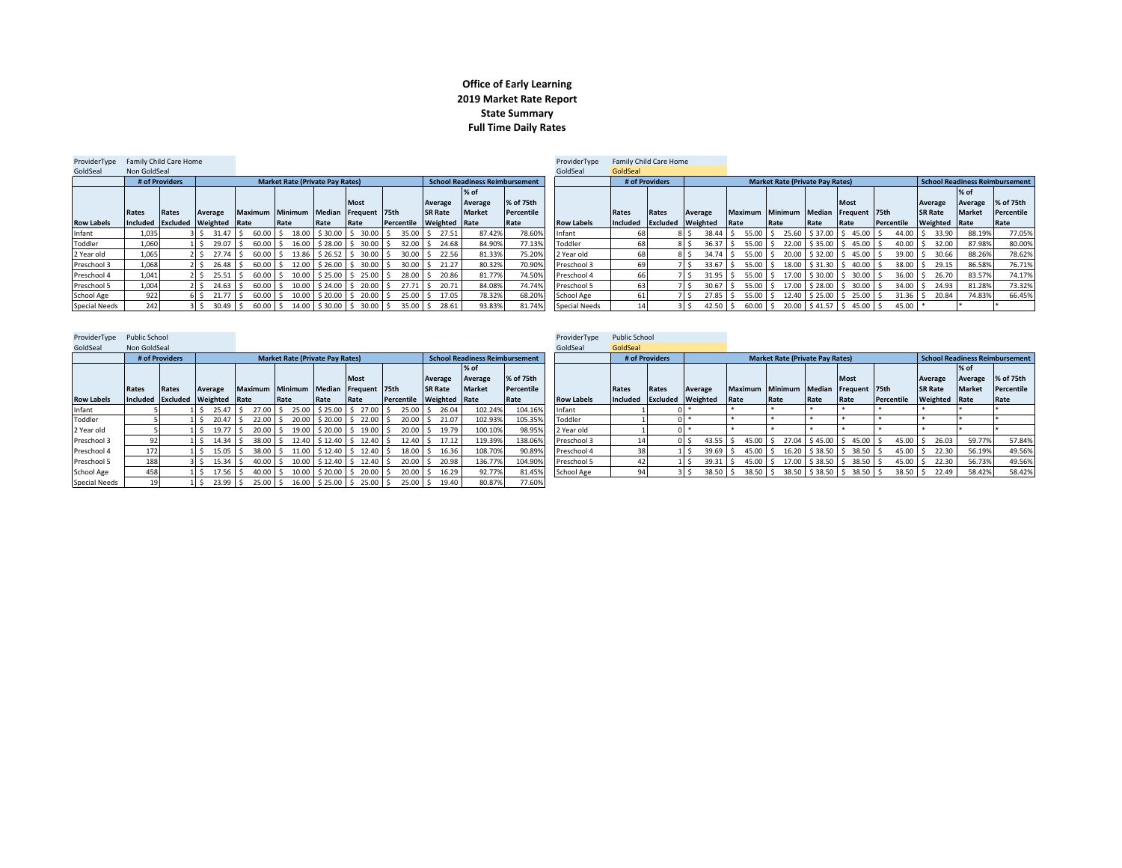## **Office of Early Learning 2019 Market Rate Report State Summary Full Time Daily Rates**

| ProviderType         | Family Child Care Home |                |                                 |                |                                        |             |                             |                   |                |                                       |            | ProviderTvpe         | Family Child Care Home |                |                                     |                                      |                                        |               |                          |             |                                |               |            |
|----------------------|------------------------|----------------|---------------------------------|----------------|----------------------------------------|-------------|-----------------------------|-------------------|----------------|---------------------------------------|------------|----------------------|------------------------|----------------|-------------------------------------|--------------------------------------|----------------------------------------|---------------|--------------------------|-------------|--------------------------------|---------------|------------|
| GoldSeal             | Non GoldSeal           |                |                                 |                |                                        |             |                             |                   |                |                                       |            | GoldSeal             | GoldSeal               |                |                                     |                                      |                                        |               |                          |             |                                |               |            |
|                      |                        | # of Providers |                                 |                | <b>Market Rate (Private Pay Rates)</b> |             |                             |                   |                | <b>School Readiness Reimbursement</b> |            |                      |                        | # of Providers |                                     |                                      | <b>Market Rate (Private Pay Rates)</b> |               |                          |             | School Readiness Reimbursement |               |            |
|                      |                        |                |                                 |                |                                        |             |                             |                   |                | $%$ of                                |            |                      |                        |                |                                     |                                      |                                        |               |                          |             |                                | % of          |            |
|                      |                        |                |                                 |                |                                        |             | <b>Most</b>                 |                   | Average        | Average                               | % of 75th  |                      |                        |                |                                     |                                      |                                        |               | <b>Most</b>              |             | Average                        | Average       | % of 75th  |
|                      | Rates                  | Rates          | Average                         | <b>Maximum</b> | <b>Minimum</b>                         | Median      | Frequent 75th               |                   | <b>SR Rate</b> | <b>Market</b>                         | Percentile |                      | Rates                  | Rates          | Average                             | Maximum Minimum Median Frequent 75th |                                        |               |                          |             | <b>SR Rate</b>                 | <b>Market</b> | Percentile |
| <b>Row Labels</b>    |                        |                | Included Excluded Weighted Rate |                | Rate                                   | Rate        | Rate                        | Percentile        | Weighted Rate  |                                       | Rate       | <b>Row Labels</b>    | Included Excluded      |                | Weighted                            | Rate                                 | Rate                                   | Rate          | <b>IRate</b>             | Percentile  | Weighted Rate                  |               | Rate       |
| Infant               | 1.035                  |                | 31.47S                          | $60.00$ S      |                                        |             | 18.00 \$30.00 \$30.00       | $35.00$ S<br>-S   | 27.51          | 87.42%                                | 78.60%     | Infant               |                        |                | $38.44$ \ \$                        | $55.00$ S                            |                                        | 25.60 \$37.00 | $545.00$ $5$             | 44.00 \$    | 33.90                          | 88.19%        | 77.05%     |
| Toddler              | 1,060                  |                | 29.07S                          | $60.00$ \$     |                                        |             | 16.00 \$28.00 \$30.00       | $32.00$ \$<br>l S | 24.68          | 84.90%                                | 77.13%     | Toddler              | 68                     |                | $36.37$ \$                          | 55.00 \$                             |                                        | 22.00 \$35.00 | $$45.00$ \$              | $40.00$ \$  | 32.00                          | 87.98%        | 80.00%     |
| 2 Year old           | 1,065                  |                | $27.74$ S                       | $60.00$ S      |                                        |             | 13.86 \$26.52 \$30.00       | $30.00$ S         | 22.56          | 81.33%                                | 75.20%     | 2 Year old           | 68                     |                | $34.74$ S                           |                                      | 55.00 \$ 20.00 \$32.00                 |               | $5$ 45.00 $\overline{S}$ | $39.00$ \$  | 30.66                          | 88.26%        | 78.62%     |
| Preschool 3          | 1,068                  |                | $26.48$ \$                      | $60.00$ S      |                                        |             | 12.00 \$26.00 \$30.00       | $30.00$ \$<br>l S | 21.27          | 80.32%                                | 70.90%     | Preschool 3          |                        |                | $33.67$ S                           | 55.00 \$                             |                                        | 18.00 \$31.30 | $$40.00$ \$              | $38.00$ \$  | 29.15                          | 86.58%        | 76.71%     |
| Preschool 4          | 1.041                  |                | $25.51$ S                       | $60.00$ S      |                                        |             | 10.00 \$25.00 \$25.00       | $28.00$ S<br>l S  | 20.86          | 81.77%                                | 74.50%     | Preschool 4          | 66                     |                | $31.95$ $\overline{\phantom{1}}$ \$ |                                      | 55.00 \$ 17.00 \$ 30.00                |               | $30.00$ \$               | $36.00$ S   | 26.70                          | 83.57%        | 74.17%     |
| Preschool 5          | 1,004                  |                | $24.63$ \$                      | $60.00$ S      |                                        |             | 10.00   \$ 24.00   \$ 20.00 | $27.71$ S<br>-S   | 20.71          | 84.08%                                | 74.74%     | Preschool 5          | 63                     |                | $30.67$ S                           |                                      | 55.00 \$ 17.00 \$ 28.00                |               | $5, 30.00$ $5$           | 34.00 \$    | 24.93                          | 81.28%        | 73.32%     |
| School Age           | 922                    |                | 21.77                           | $60.00$ \$     | 10.00                                  | $$20.00$ \$ | 20.00                       | $25.00$ \$        | 17.05          | 78.32%                                | 68.20%     | School Age           |                        |                | 27.85                               | $55.00$ \$                           | 12.40                                  | \$25.00       | $25.00$ \$               | $31.36$ \$  | 20.84                          | 74.83%        | 66.45%     |
| <b>Special Needs</b> | 242                    |                | $30.49$ \$                      |                | 60.00 \$ 14.00 \$ 30.00 \$ 30.00       |             |                             | $35.00$ S<br>l S  | 28.61          | 93.83%                                | 81.74%     | <b>Special Needs</b> |                        |                | $42.50$ \$                          | $60.00$ \$                           |                                        |               | 20.00 \$41.57 \$45.00 \$ | $45.00$ $*$ |                                |               |            |

| ProviderType         | <b>Public School</b> |                |                                 |                |                                        |         |                          |            |                      |                                       |             | ProviderTvpe      | <b>Public School</b> |                          |                  |                |                                        |                     |                       |            |                |                               |  |
|----------------------|----------------------|----------------|---------------------------------|----------------|----------------------------------------|---------|--------------------------|------------|----------------------|---------------------------------------|-------------|-------------------|----------------------|--------------------------|------------------|----------------|----------------------------------------|---------------------|-----------------------|------------|----------------|-------------------------------|--|
| GoldSeal             | Non GoldSeal         |                |                                 |                |                                        |         |                          |            |                      |                                       |             | GoldSeal          | GoldSeal             |                          |                  |                |                                        |                     |                       |            |                |                               |  |
|                      |                      | # of Providers |                                 |                | <b>Market Rate (Private Pay Rates)</b> |         |                          |            |                      | <b>School Readiness Reimbursement</b> |             |                   |                      | # of Providers           |                  |                | <b>Market Rate (Private Pay Rates)</b> |                     |                       |            |                | <b>School Readiness Reimb</b> |  |
|                      |                      |                |                                 |                |                                        |         |                          |            |                      | % of                                  |             |                   |                      |                          |                  |                |                                        |                     |                       |            |                | % of                          |  |
|                      |                      |                |                                 |                |                                        |         | <b>Most</b>              |            | Average              | Average                               | % of 75th   |                   |                      |                          |                  |                |                                        |                     | <b>Most</b>           |            | Average        | Average                       |  |
|                      | Rates                | Rates          | Average                         | <b>Maximum</b> | Minimum                                |         | Median Frequent 75th     |            | <b>SR Rate</b>       | <b>Market</b>                         | Percentile  |                   | <b>Rates</b>         | Rates                    | Average          | <b>Maximum</b> | Minimum                                | Median              | Frequent 75th         |            | <b>SR Rate</b> | <b>Market</b>                 |  |
| <b>Row Labels</b>    |                      |                | Included Excluded Weighted Rate |                | Rate                                   | Rate    | Rate                     | Percentile | <b>Weighted Rate</b> |                                       | <b>Rate</b> | <b>Row Labels</b> | Included             | <b>Excluded Weighted</b> |                  | Rate           | <b>Rate</b>                            | Rate                | Rate                  | Percentile | Weighted Rate  |                               |  |
| Infant               |                      |                | $25.47$ S                       | $27.00$ S      | 25.00                                  |         | $$25.00$ $$27.00$ $$$    | 25.00 S    | 26.04                | 102.24%                               | 104.16%     | Infant            |                      |                          |                  |                |                                        |                     |                       |            |                |                               |  |
| Toddler              |                      |                | 20.47                           | 22.00          | 20.00                                  | \$20.00 | $5$ 22.00 $\overline{5}$ | 20.00      | 21.07                | 102.93%                               | 105.35%     | Toddler           |                      |                          |                  |                |                                        |                     |                       |            |                |                               |  |
| 2 Year old           |                      |                | 19.77                           | 20.00          | 19.00                                  | \$20.00 | $5 19.00$ $5$            | $20.00$ S  | 19.79                | 100.10%                               | 98.95%      | 2 Year old        |                      |                          |                  |                |                                        |                     |                       |            |                |                               |  |
| Preschool 3          | 92                   |                | $14.34$ \$                      | $38.00$ S      | 12.40                                  | \$12.40 | $$12.40$ $$$             | 12.40 S    | 17.12                | 119.39%                               | 138.06%     | Preschool 3       |                      |                          | $43.55$ S<br>0 S | $45.00$ S      | 27.04                                  |                     | $$45.00$ $$45.00$     | 45.00      | 26.03          | 59.77%                        |  |
| Preschool 4          | 172                  |                | $15.05$ \$                      | 38.00          | 11.00                                  | \$12.40 | $5$ 12.40 \$             | $18.00$ \$ | 16.36                | 108.70%                               | 90.89%      | Preschool 4       | 38                   |                          | $39.69$ \$       | $45.00$ \$     |                                        | $16.20$ \$ 38.50 \$ | 38.50                 | 45.00      | 22.30          | 56.19%                        |  |
| Preschool 5          | 188                  |                | $15.34$ \$<br>3 S               | 40.00          | 10.00                                  | \$12.40 | $5$ 12.40 \$             | 20.00      | 20.98                | 136.77%                               | 104.90%     | Preschool 5       | 42.                  |                          | $39.31$ \$       | $45.00$ \$     |                                        |                     | 17.00 \$38.50 \$38.50 | 45.00      | 22.30          | 56.73%                        |  |
| School Age           | 458                  |                | $17.56$ \$                      | 40.00          | 10.00                                  | \$20.00 | $$20.00$ \$              | 20.00      | 16.29                | 92.77%                                | 81.45%      | School Age        |                      |                          | $38.50$ \$       |                | 38.50 \$ 38.50 \$ 38.50 \$ 38.50       |                     |                       | 38.50      | 22.49          | 58.42%                        |  |
| <b>Special Needs</b> | 19                   |                | $23.99$ \$                      | $25.00$ \$     | 16.00                                  |         | $$25.00$ $$25.00$ $$$    | $25.00$ S  | 19.40                | 80.87%                                | 77.60%      |                   |                      |                          |                  |                |                                        |                     |                       |            |                |                               |  |

| $1.0$ viusting ps | <b>UNIL JUNUE</b> |              |                                 |                 |                                        |      |                                  |            |                      |                                |            | <b>I</b> TOVIGCI I YPC | <b>I</b> GUILL JUILLUI |                |                            |                 |                                        |                  |                         |            |                |               |                                |
|-------------------|-------------------|--------------|---------------------------------|-----------------|----------------------------------------|------|----------------------------------|------------|----------------------|--------------------------------|------------|------------------------|------------------------|----------------|----------------------------|-----------------|----------------------------------------|------------------|-------------------------|------------|----------------|---------------|--------------------------------|
| GoldSeal          | Non GoldSeal      |              |                                 |                 |                                        |      |                                  |            |                      |                                |            | GoldSeal               | GoldSeal               |                |                            |                 |                                        |                  |                         |            |                |               |                                |
|                   | # of Providers    |              |                                 |                 | <b>Market Rate (Private Pay Rates)</b> |      |                                  |            |                      | School Readiness Reimbursement |            |                        |                        | # of Providers |                            |                 | <b>Market Rate (Private Pay Rates)</b> |                  |                         |            |                |               | School Readiness Reimbursement |
|                   |                   |              |                                 |                 |                                        |      |                                  |            |                      | % of                           |            |                        |                        |                |                            |                 |                                        |                  |                         |            |                | $%$ of        |                                |
|                   |                   |              |                                 |                 |                                        |      | <b>Most</b>                      |            | Average              | Average                        | % of 75th  |                        |                        |                |                            |                 |                                        |                  | <b>Most</b>             |            | Average        | Average       | % of 75th                      |
|                   | Rates             | <b>Rates</b> | Average                         | Maximum Minimum |                                        |      | Median Frequent 75th             |            | <b>SR Rate</b>       | <b>Market</b>                  | Percentile |                        | Rates                  | <b>Rates</b>   | Average                    | Maximum Minimum |                                        | Median           | Frequent 75th           |            | <b>SR Rate</b> | <b>Market</b> | Percentile                     |
| <b>Row Labels</b> |                   |              | Included Excluded Weighted Rate |                 | Rate                                   | Rate | Rate                             | Percentile | <b>Weighted</b> Rate |                                | Rate       | <b>Row Labels</b>      |                        |                | Included Excluded Weighted | Rate            | Rate                                   | Rate             | Rate                    | Percentile | Weighted Rate  |               | Rate                           |
| Infant            |                   |              | 25.47S                          |                 | 27.00 S 25.00 S 25.00 S 27.00 S        |      |                                  |            | 25.00 \$ 26.04       | 102.24%                        | 104.16%    | Infant                 |                        |                |                            |                 |                                        |                  |                         |            |                |               |                                |
| Toddler           |                   |              | 20.47 S                         |                 | 22.00 \$ 20.00 \$ 20.00 \$ 22.00 \$    |      |                                  |            | 20.00 \$ 21.07       | 102.93%                        | 105.359    | Toddler                |                        |                |                            |                 |                                        |                  |                         |            |                |               |                                |
| 2 Year old        |                   |              | 19.77                           | $20.00$ S       |                                        |      | 19.00   \$ 20.00   \$ 19.00   \$ |            | 20.00 \$ 19.79       | 100.10%                        | 98.95%     | 2 Year old             |                        |                |                            |                 |                                        |                  |                         |            |                |               |                                |
| Preschool 3       |                   |              | $14.34$ S                       | 38.00 \$        |                                        |      | 12.40 \$12.40 \$12.40 \$         |            | 12.40 \$ 17.12       | 119.39%                        | 138.06%    | Preschool 3            |                        |                | $43.55$ S                  | $45.00$ S       |                                        |                  | 27.04 S 45.00 S 45.00 S | $45.00$ S  | 26.03          | 59.77%        | 57.84%                         |
| Preschool 4       | 172               |              | 15.05                           | 38.00 \$        | 11.00                                  |      | $$12.40 \quad $12.40 \quad $$    |            | 18.00 \$ 16.36       | 108.70%                        | 90.89%     | Preschool 4            |                        |                | $39.69$ \$                 | $45.00$ S       |                                        | 16.20 \$38.50 \$ | 38.50                   | $45.00$ S  | 22.30          | 56.19%        | 49.56%                         |
| Preschool 5       | 188               |              | $15.34$ S                       | $40.00$ \$      |                                        |      | $10.00$ \$12.40 \$12.40 \$       | $20.00$ \$ | 20.98                | 136.77%                        | 104.90%    | Preschool 5            |                        |                | $39.31$ S                  |                 | 45.00 \$ 17.00 \$ 38.50 \$ 38.50       |                  |                         | $45.00$ S  | 22.30          | 56.73%        | 49.56%                         |
| School Age        | 458               |              | $17.56$ S                       | $40.00$ \$      |                                        |      | 10.00 \$20.00 \$20.00 \$         |            | 20.00 \$ 16.29       | 92.77%                         | 81.45%     | School Age             |                        |                | $38.50$ \$                 |                 | 38.50 \$ 38.50 \$ 38.50 \$ 38.50       |                  |                         | $38.50$ S  | 22.49          | 58.42%        | 58.42%                         |
| .                 |                   |              | .                               |                 |                                        |      |                                  |            | .                    | .                              | ------     |                        |                        |                |                            |                 |                                        |                  |                         |            |                |               |                                |